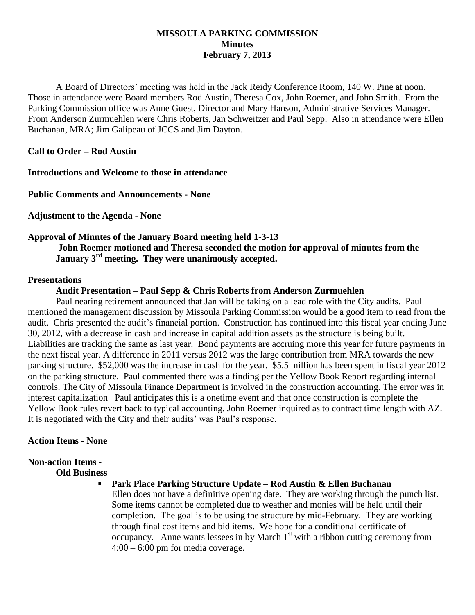# **MISSOULA PARKING COMMISSION Minutes February 7, 2013**

A Board of Directors' meeting was held in the Jack Reidy Conference Room, 140 W. Pine at noon. Those in attendance were Board members Rod Austin, Theresa Cox, John Roemer, and John Smith. From the Parking Commission office was Anne Guest, Director and Mary Hanson, Administrative Services Manager. From Anderson Zurmuehlen were Chris Roberts, Jan Schweitzer and Paul Sepp. Also in attendance were Ellen Buchanan, MRA; Jim Galipeau of JCCS and Jim Dayton.

**Call to Order – Rod Austin**

**Introductions and Welcome to those in attendance**

**Public Comments and Announcements - None**

**Adjustment to the Agenda - None**

# **Approval of Minutes of the January Board meeting held 1-3-13 John Roemer motioned and Theresa seconded the motion for approval of minutes from the January 3rd meeting. They were unanimously accepted.**

# **Presentations**

# **Audit Presentation – Paul Sepp & Chris Roberts from Anderson Zurmuehlen**

Paul nearing retirement announced that Jan will be taking on a lead role with the City audits. Paul mentioned the management discussion by Missoula Parking Commission would be a good item to read from the audit. Chris presented the audit's financial portion. Construction has continued into this fiscal year ending June 30, 2012, with a decrease in cash and increase in capital addition assets as the structure is being built. Liabilities are tracking the same as last year. Bond payments are accruing more this year for future payments in the next fiscal year. A difference in 2011 versus 2012 was the large contribution from MRA towards the new parking structure. \$52,000 was the increase in cash for the year. \$5.5 million has been spent in fiscal year 2012 on the parking structure. Paul commented there was a finding per the Yellow Book Report regarding internal controls. The City of Missoula Finance Department is involved in the construction accounting. The error was in interest capitalization Paul anticipates this is a onetime event and that once construction is complete the Yellow Book rules revert back to typical accounting. John Roemer inquired as to contract time length with AZ. It is negotiated with the City and their audits' was Paul's response.

#### **Action Items - None**

# **Non-action Items -**

# **Old Business**

 **Park Place Parking Structure Update – Rod Austin & Ellen Buchanan** Ellen does not have a definitive opening date. They are working through the punch list. Some items cannot be completed due to weather and monies will be held until their completion. The goal is to be using the structure by mid-February. They are working through final cost items and bid items. We hope for a conditional certificate of occupancy. Anne wants lessees in by March  $1<sup>st</sup>$  with a ribbon cutting ceremony from 4:00 – 6:00 pm for media coverage.